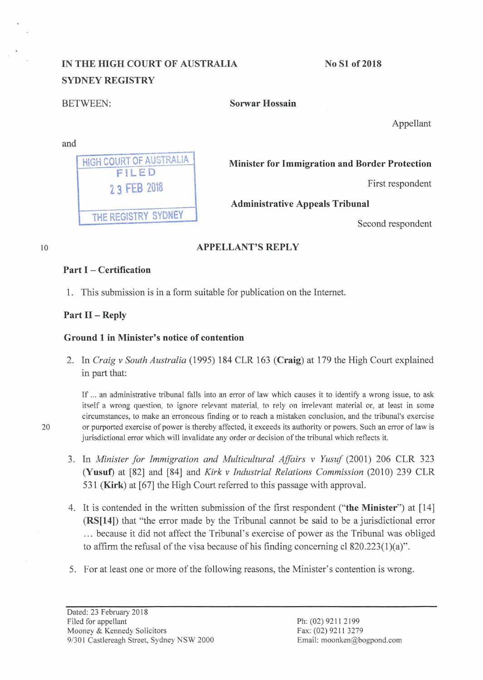# IN THE HIGH COURT OF AUSTRALIA SYDNEY REGISTRY

HIGH COURT OF AUSTRALIA FiLED

THE REGISTRY SYDNEY

No Sl of2018

and

BETWEEN: Sorwar Hossain

Appellant

Minister for Immigration and Border Protection

2.3 FEB 2018 and 2.3 First respondent

Administrative Appeals Tribunal

Second respondent

#### 10

# APPELLANT'S REPLY

### Part I - Certification

1. This submission is in a form suitable for publication on the Internet.

# Part II - Reply

## Ground 1 in Minister's notice of contention

2. In *Craig v South Australia* (1995) 184 CLR 163 (Craig) at 179 the High Court explained in part that:

If ... an administrative tribunal falls into an error of law which causes it to identify a wrong issue, to ask itself a wrong question, to ignore relevant material, to rely on irrelevant material or, at least in some circumstances, to make an erroneous finding or to reach a mistaken conclusion, and the tribunal's exercise 20 or purported exercise of power is thereby affected, it exceeds its authority or powers. Such an error of law is jurisdictional error which will invalidate any order or decision of the tribunal which reflects it.

- 3. In *Minister for Immigration and Multicultural Affairs v Yusuf* (2001) 206 CLR 323 (Yusuf) at [82] and [84] and *Kirk v Industrial Relations Commission* (2010) 239 CLR 531 (Kirk) at [67] the High Court referred to this passage with approval.
- 4. It is contended in the written submission of the first respondent ("the Minister") at [14] (RS[14]) that "the error made by the Tribunal cannot be said to be a jurisdictional error ... because it did not affect the Tribunal's exercise of power as the Tribunal was obliged to affirm the refusal of the visa because of his finding concerning cl  $820.223(1)(a)$ ".
- 5. For at least one or more of the following reasons, the Minister's contention is wrong.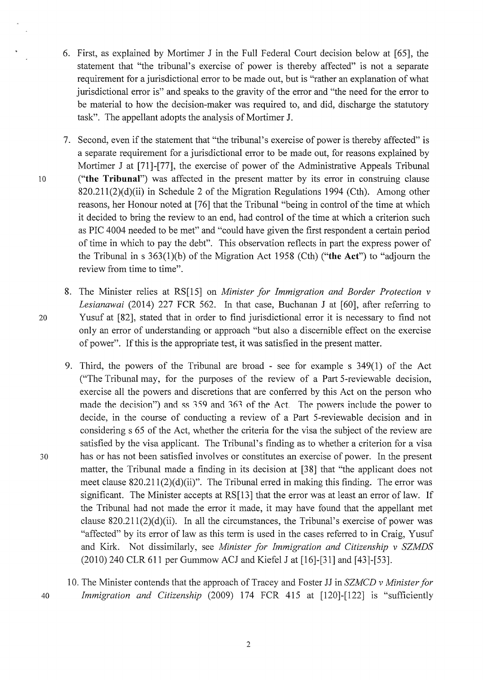- 6. First, as explained by Mortimer J in the Full Federal Court decision below at [65], the statement that "the tribunal's exercise of power is thereby affected" is not a separate requirement for a jurisdictional error to be made out, but is "rather an explanation of what jurisdictional error is" and speaks to the gravity of the error and "the need for the error to be material to how the decision-maker was required to, and did, discharge the statutory task". The appellant adopts the analysis of Mortimer J.
- 7. Second, even if the statement that "the tribunal's exercise of power is thereby affected" is a separate requirement for a jurisdictional error to be made out, for reasons explained by Mortimer J at [71]-[77], the exercise of power of the Administrative Appeals Tribunal <sup>1</sup>o **("the Tribunal")** was affected in the present matter by its error in construing clause  $820.211(2)(d)(ii)$  in Schedule 2 of the Migration Regulations 1994 (Cth). Among other reasons, her Honour noted at [76] that the Tribunal "being in control of the time at which it decided to bring the review to an end, had control of the time at which a criterion such asPIC 4004 needed to be met" and "could have given the first respondent a certain period of time in which to pay the debt". This observation reflects in part the express power of the Tribunal in s 363(1 )(b) of the Migration Act 1958 (Cth) **("the Act")** to "adjourn the review from time to time".
- 8. The Minister relies at RS[15] on *Minister for Immigration and Border Protection v Lesianawai* (2014) 227 FCR 562. In that case, Buchanan J at [60], after referring to 20 Yusuf at [82], stated that in order to find jurisdictional error it is necessary to find not only an error of understanding or approach "but also a discernible effect on the exercise of power". If this is the appropriate test, it was satisfied in the present matter.
- 9. Third, the powers of the Tribunal are broad see for example s 349(1) of the Act ("The Tribunal may, for the purposes of the review of a Part 5-reviewable decision, exercise all the powers and discretions that are conferred by this Act on the person who made the decision") and ss 359 and 363 of the Act. The powers include the power to decide, in the course of conducting a review of a Part 5-reviewable decision and in considering s 65 of the Act, whether the criteria for the visa the subject of the review are satisfied by the visa applicant. The Tribunal's finding as to whether a criterion for a visa 30 has or has not been satisfied involves or constitutes an exercise of power. In the present matter, the Tribunal made a finding in its decision at [38] that "the applicant does not meet clause 820.211(2)(d)(ii)". The Tribunal erred in making this finding. The error was significant. The Minister accepts at RS[13] that the error was at least an error of law. If the Tribunal had not made the error it made, it may have found that the appellant met clause  $820.211(2)(d)(ii)$ . In all the circumstances, the Tribunal's exercise of power was "affected" by its error of law as this term is used in the cases referred to in Craig, Yusuf and Kirk. Not dissimilarly, see *Minister for Immigration and Citizenship v SZMDS*  (2010) 240 CLR 611 per Gummow ACJ and Kiefel J at [16]-[31] and [43l-f53].
- 10. The Minister contends that the approach of Tracey and Foster JJ in *SZMCD v Minister for* 40 *Immigration and Citizenship* (2009) 174 FCR 415 at [120]-[122] is "sufficiently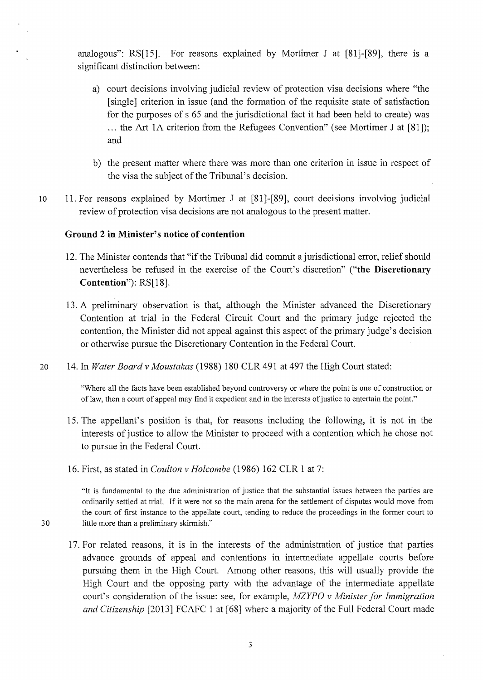analogous": RS[15]. For reasons explained by Mortimer J at [81]-[89], there is a significant distinction between:

- a) court decisions involving judicial review of protection visa decisions where ''the [single] criterion in issue (and the formation of the requisite state of satisfaction for the purposes of s 65 and the jurisdictional fact it had been held to create) was ... the Art lA criterion from the Refugees Convention" (see Mortimer J at [81]); and
- b) the present matter where there was more than one criterion in issue in respect of the visa the subject of the Tribunal's decision.
- 10 11. For reasons explained by Mortimer J at [81]-[89], court decisions involving judicial review of protection visa decisions are not analogous to the present matter.

# **Ground 2 in Minister's notice of contention**

- 12. The Minister contends that "if the Tribunal did commit a jurisdictional error, relief should nevertheless be refused in the exercise of the Court's discretion" **("the Discretionary Contention"):** RS[18].
- 13. A preliminary observation is that, although the Minister advanced the Discretionary Contention at trial in the Federal Circuit Court and the primary judge rejected the contention, the Minister did not appeal against this aspect of the primary judge's decision or otherwise pursue the Discretionary Contention in the Federal Court.
- 20 14. In *Water Board v Moustakas* (1988) 180 CLR 491 at 497 the High Court stated:

"Where all the facts have been established beyond conlroversy or where lhe point is one of construction or of law, then a court of appeal may find it expedient and in the interests of justice to entertain the point."

- 15. The appellant's position is that, for reasons including the following, it is not in the interests of justice to allow the Minister to proceed with a contention which he chose not to pursue in the Federal Court.
- 16. First, as stated in *Coulton v Holcombe* (1986) 162 CLR 1 at 7:

"It is fundamental to the due administration of justice that the substantial issues between the parties are ordinarily settled at trial. If it were not so the main arena for the settlement of disputes would move from the court of first instance to the appellate court, tending to reduce the proceedings in the former court to 30 little more than a preliminary skirmish."

- 
- 17. For related reasons, it is in the interests of the administration of justice that parties advance grounds of appeal and contentions in intermediate appellate courts before pursuing them in the High Court. Among other reasons, this will usually provide the High Court and the opposing party with the advantage of the intermediate appellate court's consideration of the issue: see, for example, *MZYPO v Minister for Immigration and Citizenship* [2013] FCAFC 1 at [68] where a majority of the Full Federal Court made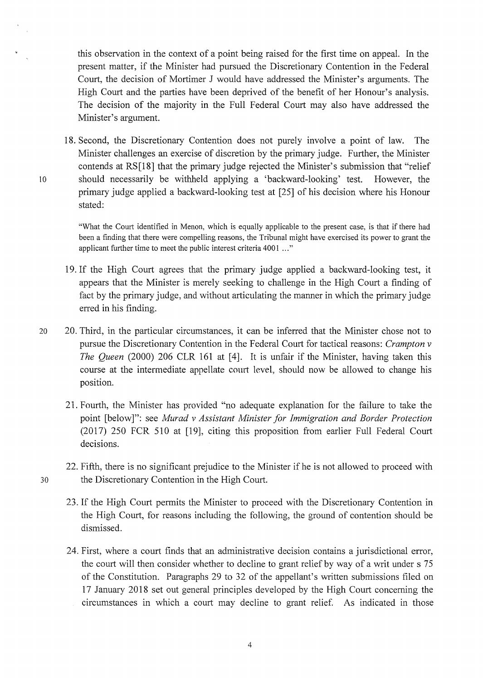this observation in the context of a point being raised for the first time on appeal. In the present matter, if the Minister had pursued the Discretionary Contention in the Federal Court, the decision of Mortimer J would have addressed the Minister's arguments. The High Court and the parties have been deprived of the benefit of her Honour's analysis. The decision of the majority in the Full Federal Court may also have addressed the Minister's argument.

18. Second, the Discretionary Contention does not purely involve a point of law. The Minister challenges an exercise of discretion by the primary judge. Further, the Minister contends at RS[l8] that the primary judge rejected the Minister's submission that "relief 10 should necessarily be withheld applying a 'backward-looking' test. However, the primary judge applied a backward-looking test at [25] of his decision where his Honour stated:

"What the Court identified in Menon, which is equally applicable to the present case, is that if there had been a finding that there were compelling reasons, the Tribunal might have exercised its power to grant the applicant further time to meet the public interest criteria 4001 ... "

- 19. If the High Court agrees that the primary judge applied a backward-looking test, it appears that the Minister is merely seeking to challenge in the High Court a finding of fact by the primary judge, and without articulating the manner in which the primary judge erred in his finding.
- 20 20. Third, in the particular circumstances, it can be inferred that the Minister chose not to pursue the Discretionary Contention in the Federal Court for tactical reasons: *Crampton v The Queen* (2000) 206 CLR 161 at [4]. It is unfair if the Minister, having taken this course at the intermediate appellate court level, should now be allowed to change his position.
	- 21. Fourth, the Minister has provided "no adequate explanation for the failure to take the point [below]": see *Murad v Assistant Minister for Immigration and Border Protection*  (2017) 250 FCR 510 at [19], citing this proposition from earlier Full Federal Court decisions.
- 22. Fifth, there is no significant prejudice to the Minister if he is not allowed to proceed with 30 the Discretionary Contention in the High Court.
	- 23. If the High Court permits the Minister to proceed with the Discretionary Contention in the High Court, for reasons including the following, the ground of contention should be dismissed.
	- 24. First, where a court finds that an administrative decision contains a jurisdictional error, the court will then consider whether to decline to grant relief by way of a writ under s 75 of the Constitution. Paragraphs 29 to 32 of the appellant's written submissions filed on 17 January 2018 set out general principles developed by the High Court concerning the circumstances in which a court may decline to grant relief. As indicated in those